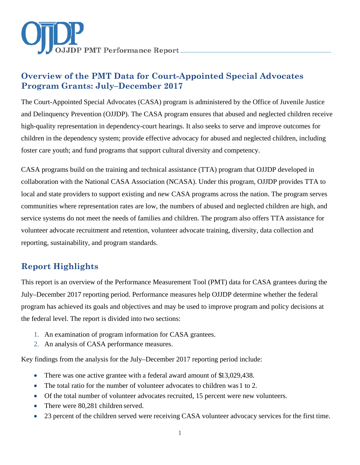

# **Overview of the PMT Data for Court-Appointed Special Advocates Program Grants: July–December 2017**

The Court-Appointed Special Advocates (CASA) program is administered by the Office of Juvenile Justice and Delinquency Prevention (OJJDP). The CASA program ensures that abused and neglected children receive high-quality representation in dependency-court hearings. It also seeks to serve and improve outcomes for children in the dependency system; provide effective advocacy for abused and neglected children, including foster care youth; and fund programs that support cultural diversity and competency.

CASA programs build on the training and technical assistance (TTA) program that OJJDP developed in collaboration with the National CASA Association (NCASA). Under this program, OJJDP provides TTA to local and state providers to support existing and new CASA programs across the nation. The program serves communities where representation rates are low, the numbers of abused and neglected children are high, and service systems do not meet the needs of families and children. The program also offers TTA assistance for volunteer advocate recruitment and retention, volunteer advocate training, diversity, data collection and reporting, sustainability, and program standards.

# **Report Highlights**

This report is an overview of the Performance Measurement Tool (PMT) data for CASA grantees during the July–December 2017 reporting period. Performance measures help OJJDP determine whether the federal program has achieved its goals and objectives and may be used to improve program and policy decisions at the federal level. The report is divided into two sections:

- 1. An examination of program information for CASA grantees.
- 2. An analysis of CASA performance measures.

Key findings from the analysis for the July–December 2017 reporting period include:

- There was one active grantee with a federal award amount of \$13,029,438.
- The total ratio for the number of volunteer advocates to children was 1 to 2.
- Of the total number of volunteer advocates recruited, 15 percent were new volunteers.
- There were 80,281 children served.
- 23 percent of the children served were receiving CASA volunteer advocacy services for the first time.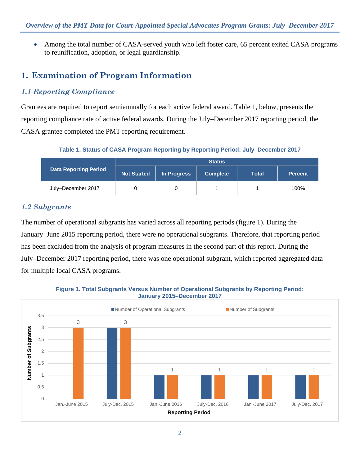• Among the total number of CASA-served youth who left foster care, 65 percent exited CASA programs to reunification, adoption, or legal guardianship.

# **1. Examination of Program Information**

## *1.1 Reporting Compliance*

Grantees are required to report semiannually for each active federal award. Table 1, below, presents the reporting compliance rate of active federal awards. During the July–December 2017 reporting period, the CASA grantee completed the PMT reporting requirement.

**Table 1. Status of CASA Program Reporting by Reporting Period: July–December 2017**

|                              | <b>Status</b>      |             |                 |       |                |
|------------------------------|--------------------|-------------|-----------------|-------|----------------|
| <b>Data Reporting Period</b> | <b>Not Started</b> | In Progress | <b>Complete</b> | Total | <b>Percent</b> |
| July-December 2017           |                    |             |                 |       | 100%           |

## *1.2 Subgrants*

The number of operational subgrants has varied across all reporting periods (figure 1). During the January–June 2015 reporting period, there were no operational subgrants. Therefore, that reporting period has been excluded from the analysis of program measures in the second part of this report. During the July–December 2017 reporting period, there was one operational subgrant, which reported aggregated data for multiple local CASA programs.



**Figure 1. Total Subgrants Versus Number of Operational Subgrants by Reporting Period:**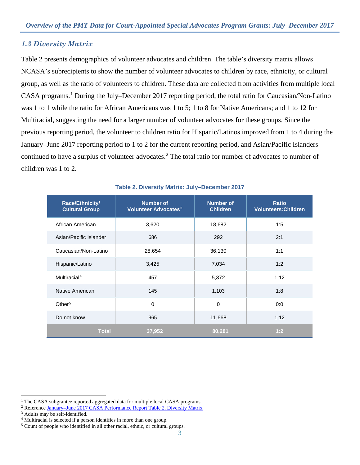## *1.3 Diversity Matrix*

Table 2 presents demographics of volunteer advocates and children. The table's diversity matrix allows NCASA's subrecipients to show the number of volunteer advocates to children by race, ethnicity, or cultural group, as well as the ratio of volunteers to children. These data are collected from activities from multiple local CASA programs.<sup>[1](#page-2-0)</sup> During the July–December 2017 reporting period, the total ratio for Caucasian/Non-Latino was 1 to 1 while the ratio for African Americans was 1 to 5; 1 to 8 for Native Americans; and 1 to 12 for Multiracial, suggesting the need for a larger number of volunteer advocates for these groups. Since the previous reporting period, the volunteer to children ratio for Hispanic/Latinos improved from 1 to 4 during the January–June 2017 reporting period to 1 to 2 for the current reporting period, and Asian/Pacific Islanders continued to have a surplus of volunteer advocates.<sup>[2](#page-2-1)</sup> The total ratio for number of advocates to number of children was 1 to 2.

| Race/Ethnicity/<br><b>Cultural Group</b> | <b>Number of</b><br>Volunteer Advocates <sup>3</sup> | <b>Number of</b><br><b>Children</b> | <b>Ratio</b><br><b>Volunteers: Children</b> |
|------------------------------------------|------------------------------------------------------|-------------------------------------|---------------------------------------------|
| African American                         | 3,620                                                | 18,682                              | 1:5                                         |
| Asian/Pacific Islander                   | 686                                                  | 292                                 | 2:1                                         |
| Caucasian/Non-Latino                     | 28,654                                               | 36,130                              | 1:1                                         |
| Hispanic/Latino                          | 3,425                                                | 7,034                               | 1:2                                         |
| Multiracial <sup>4</sup>                 | 457                                                  | 5,372                               | 1:12                                        |
| Native American                          | 145                                                  | 1,103                               | 1:8                                         |
| Other <sup>5</sup>                       | $\mathbf 0$                                          | $\mathbf 0$                         | 0:0                                         |
| Do not know                              | 965                                                  | 11,668                              | 1:12                                        |
| <b>Total</b>                             | 37,952                                               | 80,281                              | 1:2                                         |

#### **Table 2. Diversity Matrix: July–December 2017**

 $\overline{a}$ 

<span id="page-2-0"></span><sup>&</sup>lt;sup>1</sup> The CASA subgrantee reported aggregated data for multiple local CASA programs.

<span id="page-2-1"></span><sup>2</sup> Reference [January–June 2017 CASA Performance Report](https://ojjdppmt.ojp.gov/help/OJJDP%20RE_DataMemo_CASA_Final_2017_508.pdf) Table 2. Diversity Matrix

<span id="page-2-2"></span><sup>3</sup> Adults may be self-identified.

<span id="page-2-3"></span><sup>4</sup> Multiracial is selected if a person identifies in more than one group.

<span id="page-2-4"></span><sup>5</sup> Count of people who identified in all other racial, ethnic, or cultural groups.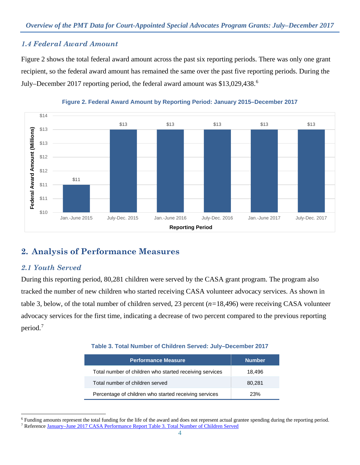## *1.4 Federal Award Amount*

Figure 2 shows the total federal award amount across the past six reporting periods. There was only one grant recipient, so the federal award amount has remained the same over the past five reporting periods. During the July–December 2017 reporting period, the federal award amount was \$13,029,438.[6](#page-3-0)





# **2. Analysis of Performance Measures**

## *2.1 Youth Served*

 $\ddot{ }$ 

During this reporting period, 80,281 children were served by the CASA grant program. The program also tracked the number of new children who started receiving CASA volunteer advocacy services. As shown in table 3, below, of the total number of children served, 23 percent (*n=*18,496) were receiving CASA volunteer advocacy services for the first time, indicating a decrease of two percent compared to the previous reporting period.[7](#page-3-1)

#### **Table 3. Total Number of Children Served: July–December 2017**

| <b>Performance Measure</b>                              | <b>Number</b> |
|---------------------------------------------------------|---------------|
| Total number of children who started receiving services | 18,496        |
| Total number of children served                         | 80.281        |
| Percentage of children who started receiving services   | 23%           |

<span id="page-3-1"></span><span id="page-3-0"></span><sup>6</sup> Funding amounts represent the total funding for the life of the award and does not represent actual grantee spending during the reporting period. <sup>7</sup> Reference [January–June 2017 CASA Performance Report](https://ojjdppmt.ojp.gov/help/OJJDP%20RE_DataMemo_CASA_Final_2017_508.pdf) Table 3. Total Number of Children Served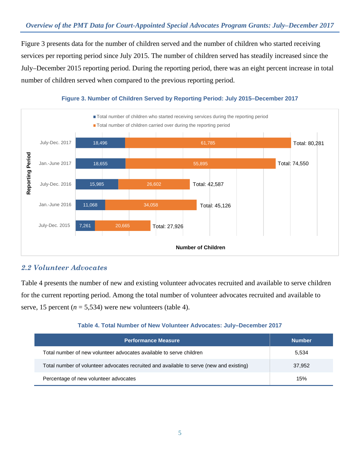Figure 3 presents data for the number of children served and the number of children who started receiving services per reporting period since July 2015. The number of children served has steadily increased since the July–December 2015 reporting period. During the reporting period, there was an eight percent increase in total number of children served when compared to the previous reporting period.



#### **Figure 3. Number of Children Served by Reporting Period: July 2015–December 2017**

## *2.2 Volunteer Advocates*

Table 4 presents the number of new and existing volunteer advocates recruited and available to serve children for the current reporting period. Among the total number of volunteer advocates recruited and available to serve, 15 percent ( $n = 5,534$ ) were new volunteers (table 4).

#### **Table 4. Total Number of New Volunteer Advocates: July–December 2017**

| <b>Performance Measure</b>                                                              | <b>Number</b> |
|-----------------------------------------------------------------------------------------|---------------|
| Total number of new volunteer advocates available to serve children                     | 5,534         |
| Total number of volunteer advocates recruited and available to serve (new and existing) | 37.952        |
| Percentage of new volunteer advocates                                                   | 15%           |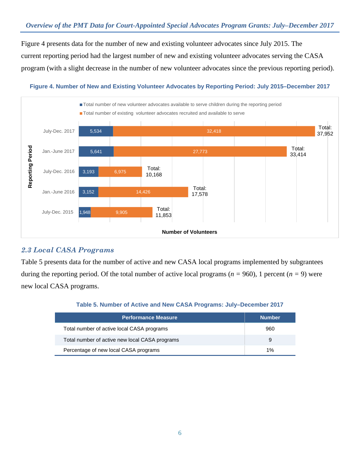## *Overview of the PMT Data for Court-Appointed Special Advocates Program Grants: July–December 2017*

Figure 4 presents data for the number of new and existing volunteer advocates since July 2015. The current reporting period had the largest number of new and existing volunteer advocates serving the CASA program (with a slight decrease in the number of new volunteer advocates since the previous reporting period).

## **Figure 4. Number of New and Existing Volunteer Advocates by Reporting Period: July 2015–December 2017**

![](_page_5_Figure_3.jpeg)

## *2.3 Local CASA Programs*

Table 5 presents data for the number of active and new CASA local programs implemented by subgrantees during the reporting period. Of the total number of active local programs (*n =* 960), 1 percent (*n =* 9) were new local CASA programs.

#### **Table 5. Number of Active and New CASA Programs: July–December 2017**

| <b>Performance Measure</b>                     | <b>Number</b> |
|------------------------------------------------|---------------|
| Total number of active local CASA programs     | 960           |
| Total number of active new local CASA programs | 9             |
| Percentage of new local CASA programs          | 1%            |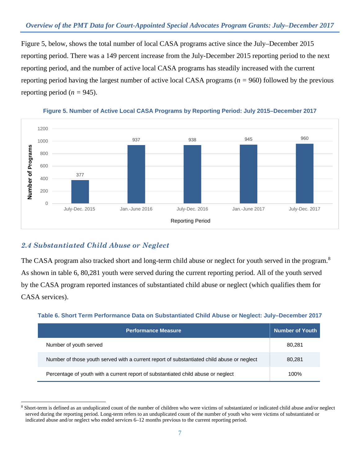Figure 5, below, shows the total number of local CASA programs active since the July–December 2015 reporting period. There was a 149 percent increase from the July-December 2015 reporting period to the next reporting period, and the number of active local CASA programs has steadily increased with the current reporting period having the largest number of active local CASA programs (*n =* 960) followed by the previous reporting period ( $n = 945$ ).

![](_page_6_Figure_2.jpeg)

![](_page_6_Figure_3.jpeg)

## *2.4 Substantiated Child Abuse or Neglect*

The CASA program also tracked short and long-term child abuse or neglect for youth served in the program.<sup>[8](#page-6-0)</sup> As shown in table 6, 80,281 youth were served during the current reporting period. All of the youth served by the CASA program reported instances of substantiated child abuse or neglect (which qualifies them for CASA services).

**Table 6. Short Term Performance Data on Substantiated Child Abuse or Neglect: July–December 2017**

| <b>Performance Measure</b>                                                                 | <b>Number of Youth</b> |
|--------------------------------------------------------------------------------------------|------------------------|
| Number of youth served                                                                     | 80,281                 |
| Number of those youth served with a current report of substantiated child abuse or neglect | 80,281                 |
| Percentage of youth with a current report of substantiated child abuse or neglect          | 100%                   |

<span id="page-6-0"></span> $\overline{a}$ 8 Short-term is defined as an unduplicated count of the number of children who were victims of substantiated or indicated child abuse and/or neglect served during the reporting period. Long-term refers to an unduplicated count of the number of youth who were victims of substantiated or indicated abuse and/or neglect who ended services 6–12 months previous to the current reporting period.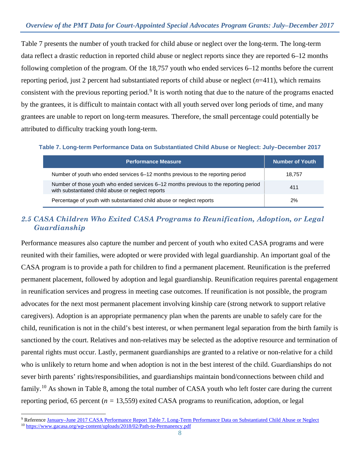Table 7 presents the number of youth tracked for child abuse or neglect over the long-term. The long-term data reflect a drastic reduction in reported child abuse or neglect reports since they are reported 6–12 months following completion of the program. Of the 18,757 youth who ended services 6–12 months before the current reporting period, just 2 percent had substantiated reports of child abuse or neglect (*n*=411), which remains consistent with the previous reporting period.<sup>[9](#page-7-0)</sup> It is worth noting that due to the nature of the programs enacted by the grantees, it is difficult to maintain contact with all youth served over long periods of time, and many grantees are unable to report on long-term measures. Therefore, the small percentage could potentially be attributed to difficulty tracking youth long-term.

**Table 7. Long-term Performance Data on Substantiated Child Abuse or Neglect: July–December 2017**

| <b>Performance Measure</b>                                                                                                                 | <b>Number of Youth</b> |
|--------------------------------------------------------------------------------------------------------------------------------------------|------------------------|
| Number of youth who ended services 6–12 months previous to the reporting period                                                            | 18.757                 |
| Number of those youth who ended services 6–12 months previous to the reporting period<br>with substantiated child abuse or neglect reports | 411                    |
| Percentage of youth with substantiated child abuse or neglect reports                                                                      | 2%                     |

## *2.5 CASA Children Who Exited CASA Programs to Reunification, Adoption, or Legal Guardianship*

Performance measures also capture the number and percent of youth who exited CASA programs and were reunited with their families, were adopted or were provided with legal guardianship. An important goal of the CASA program is to provide a path for children to find a permanent placement. Reunification is the preferred permanent placement, followed by adoption and legal guardianship. Reunification requires parental engagement in reunification services and progress in meeting case outcomes. If reunification is not possible, the program advocates for the next most permanent placement involving kinship care (strong network to support relative caregivers). Adoption is an appropriate permanency plan when the parents are unable to safely care for the child, reunification is not in the child's best interest, or when permanent legal separation from the birth family is sanctioned by the court. Relatives and non-relatives may be selected as the adoptive resource and termination of parental rights must occur. Lastly, permanent guardianships are granted to a relative or non-relative for a child who is unlikely to return home and when adoption is not in the best interest of the child. Guardianships do not sever birth parents' rights/responsibilities, and guardianships maintain bond/connections between child and family.[10](#page-7-1) As shown in Table 8, among the total number of CASA youth who left foster care during the current reporting period, 65 percent (*n =* 13,559) exited CASA programs to reunification, adoption, or legal

<span id="page-7-1"></span><span id="page-7-0"></span> $\ddot{ }$ <sup>9</sup> Reference January–June 2017 CASA Performance Report [Table 7. Long-Term Performance Data on Substantiated Child Abuse or Neglect](https://ojjdppmt.ojp.gov/help/OJJDP%20RE_DataMemo_CASA_Final_2017_508.pdf) <sup>10</sup> <https://www.gacasa.org/wp-content/uploads/2018/02/Path-to-Permanency.pdf>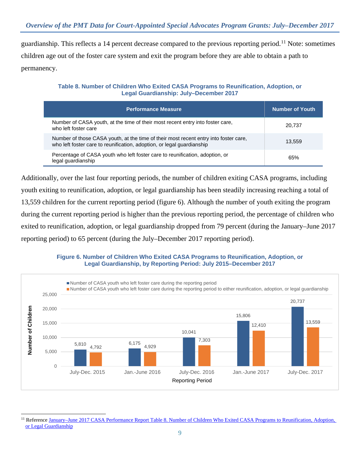guardianship. This reflects a 14 percent decrease compared to the previous reporting period.[11](#page-8-0) Note: sometimes children age out of the foster care system and exit the program before they are able to obtain a path to permanency.

**Table 8. Number of Children Who Exited CASA Programs to Reunification, Adoption, or Legal Guardianship: July–December 2017**

| <b>Performance Measure</b>                                                                                                                                     | <b>Number of Youth</b> |
|----------------------------------------------------------------------------------------------------------------------------------------------------------------|------------------------|
| Number of CASA youth, at the time of their most recent entry into foster care,<br>who left foster care                                                         | 20.737                 |
| Number of those CASA youth, at the time of their most recent entry into foster care,<br>who left foster care to reunification, adoption, or legal guardianship | 13.559                 |
| Percentage of CASA youth who left foster care to reunification, adoption, or<br>legal guardianship                                                             | 65%                    |

Additionally, over the last four reporting periods, the number of children exiting CASA programs, including youth exiting to reunification, adoption, or legal guardianship has been steadily increasing reaching a total of 13,559 children for the current reporting period (figure 6). Although the number of youth exiting the program during the current reporting period is higher than the previous reporting period, the percentage of children who exited to reunification, adoption, or legal guardianship dropped from 79 percent (during the January–June 2017 reporting period) to 65 percent (during the July–December 2017 reporting period).

![](_page_8_Figure_5.jpeg)

![](_page_8_Figure_6.jpeg)

<span id="page-8-0"></span> $\ddot{ }$ <sup>11</sup> Reference January–June 2017 CASA Performance Report [Table 8. Number of Children Who Exited CASA Programs to Reunification, Adoption,](https://ojjdppmt.ojp.gov/help/OJJDP%20RE_DataMemo_CASA_Final_2017_508.pdf)  [or Legal Guardianship](https://ojjdppmt.ojp.gov/help/OJJDP%20RE_DataMemo_CASA_Final_2017_508.pdf)